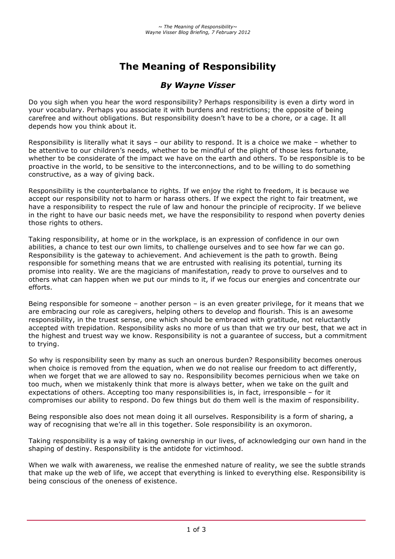# **The Meaning of Responsibility**

# *By Wayne Visser*

Do you sigh when you hear the word responsibility? Perhaps responsibility is even a dirty word in your vocabulary. Perhaps you associate it with burdens and restrictions; the opposite of being carefree and without obligations. But responsibility doesn't have to be a chore, or a cage. It all depends how you think about it.

Responsibility is literally what it says – our ability to respond. It is a choice we make – whether to be attentive to our children's needs, whether to be mindful of the plight of those less fortunate, whether to be considerate of the impact we have on the earth and others. To be responsible is to be proactive in the world, to be sensitive to the interconnections, and to be willing to do something constructive, as a way of giving back.

Responsibility is the counterbalance to rights. If we enjoy the right to freedom, it is because we accept our responsibility not to harm or harass others. If we expect the right to fair treatment, we have a responsibility to respect the rule of law and honour the principle of reciprocity. If we believe in the right to have our basic needs met, we have the responsibility to respond when poverty denies those rights to others.

Taking responsibility, at home or in the workplace, is an expression of confidence in our own abilities, a chance to test our own limits, to challenge ourselves and to see how far we can go. Responsibility is the gateway to achievement. And achievement is the path to growth. Being responsible for something means that we are entrusted with realising its potential, turning its promise into reality. We are the magicians of manifestation, ready to prove to ourselves and to others what can happen when we put our minds to it, if we focus our energies and concentrate our efforts.

Being responsible for someone – another person – is an even greater privilege, for it means that we are embracing our role as caregivers, helping others to develop and flourish. This is an awesome responsibility, in the truest sense, one which should be embraced with gratitude, not reluctantly accepted with trepidation. Responsibility asks no more of us than that we try our best, that we act in the highest and truest way we know. Responsibility is not a guarantee of success, but a commitment to trying.

So why is responsibility seen by many as such an onerous burden? Responsibility becomes onerous when choice is removed from the equation, when we do not realise our freedom to act differently, when we forget that we are allowed to say no. Responsibility becomes pernicious when we take on too much, when we mistakenly think that more is always better, when we take on the guilt and expectations of others. Accepting too many responsibilities is, in fact, irresponsible – for it compromises our ability to respond. Do few things but do them well is the maxim of responsibility.

Being responsible also does not mean doing it all ourselves. Responsibility is a form of sharing, a way of recognising that we're all in this together. Sole responsibility is an oxymoron.

Taking responsibility is a way of taking ownership in our lives, of acknowledging our own hand in the shaping of destiny. Responsibility is the antidote for victimhood.

When we walk with awareness, we realise the enmeshed nature of reality, we see the subtle strands that make up the web of life, we accept that everything is linked to everything else. Responsibility is being conscious of the oneness of existence.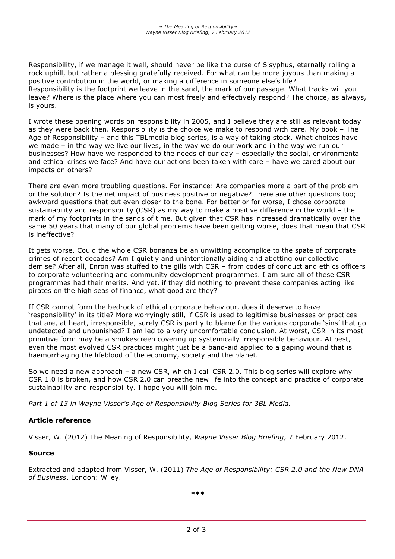Responsibility, if we manage it well, should never be like the curse of Sisyphus, eternally rolling a rock uphill, but rather a blessing gratefully received. For what can be more joyous than making a positive contribution in the world, or making a difference in someone else's life? Responsibility is the footprint we leave in the sand, the mark of our passage. What tracks will you leave? Where is the place where you can most freely and effectively respond? The choice, as always, is yours.

I wrote these opening words on responsibility in 2005, and I believe they are still as relevant today as they were back then. Responsibility is the choice we make to respond with care. My book – The Age of Responsibility – and this TBLmedia blog series, is a way of taking stock. What choices have we made – in the way we live our lives, in the way we do our work and in the way we run our businesses? How have we responded to the needs of our day – especially the social, environmental and ethical crises we face? And have our actions been taken with care – have we cared about our impacts on others?

There are even more troubling questions. For instance: Are companies more a part of the problem or the solution? Is the net impact of business positive or negative? There are other questions too; awkward questions that cut even closer to the bone. For better or for worse, I chose corporate sustainability and responsibility (CSR) as my way to make a positive difference in the world – the mark of my footprints in the sands of time. But given that CSR has increased dramatically over the same 50 years that many of our global problems have been getting worse, does that mean that CSR is ineffective?

It gets worse. Could the whole CSR bonanza be an unwitting accomplice to the spate of corporate crimes of recent decades? Am I quietly and unintentionally aiding and abetting our collective demise? After all, Enron was stuffed to the gills with CSR – from codes of conduct and ethics officers to corporate volunteering and community development programmes. I am sure all of these CSR programmes had their merits. And yet, if they did nothing to prevent these companies acting like pirates on the high seas of finance, what good are they?

If CSR cannot form the bedrock of ethical corporate behaviour, does it deserve to have 'responsibility' in its title? More worryingly still, if CSR is used to legitimise businesses or practices that are, at heart, irresponsible, surely CSR is partly to blame for the various corporate 'sins' that go undetected and unpunished? I am led to a very uncomfortable conclusion. At worst, CSR in its most primitive form may be a smokescreen covering up systemically irresponsible behaviour. At best, even the most evolved CSR practices might just be a band-aid applied to a gaping wound that is haemorrhaging the lifeblood of the economy, society and the planet.

So we need a new approach – a new CSR, which I call CSR 2.0. This blog series will explore why CSR 1.0 is broken, and how CSR 2.0 can breathe new life into the concept and practice of corporate sustainability and responsibility. I hope you will join me.

*Part 1 of 13 in Wayne Visser's Age of Responsibility Blog Series for 3BL Media.*

#### **Article reference**

Visser, W. (2012) The Meaning of Responsibility, *Wayne Visser Blog Briefing*, 7 February 2012.

#### **Source**

Extracted and adapted from Visser, W. (2011) *The Age of Responsibility: CSR 2.0 and the New DNA of Business*. London: Wiley.

**\*\*\***